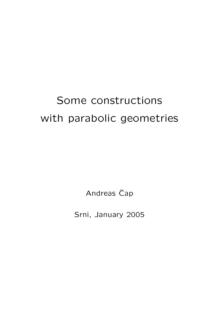# Some constructions with parabolic geometries

Andreas Čap

Srni, January 2005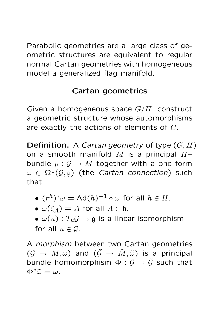Parabolic geometries are a large class of geometric structures are equivalent to regular normal Cartan geometries with homogeneous model a generalized flag manifold.

# Cartan geometries

Given a homogeneous space  $G/H$ , construct a geometric structure whose automorphisms are exactly the actions of elements of G.

**Definition.** A *Cartan geometry* of type  $(G, H)$ on a smooth manifold M is a principal  $H$ bundle  $p: \mathcal{G} \to M$  together with a one form  $\omega \in \Omega^1(\mathcal{G}, \mathfrak{g})$  (the *Cartan connection*) such that

- $\bullet$   $(r^h)^*\omega = \mathsf{Ad}(h)^{-1} \circ \omega$  for all  $h \in H.$
- $\omega(\zeta_A) = A$  for all  $A \in \mathfrak{h}$ .
- $\omega(u)$ :  $T_u \mathcal{G} \rightarrow \mathfrak{g}$  is a linear isomorphism for all  $u \in \mathcal{G}$ .

A morphism between two Cartan geometries  $(\mathcal{G} \rightarrow M, \omega)$  and  $(\tilde{\mathcal{G}} \rightarrow \tilde{M}, \tilde{\omega})$  is a principal bundle homomorphism  $\Phi : \mathcal{G} \to \tilde{\mathcal{G}}$  such that  $\Phi^*\tilde{\omega} = \omega$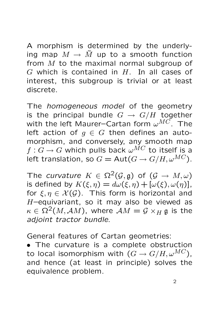A morphism is determined by the underlying map  $M \to \tilde{M}$  up to a smooth function from M to the maximal normal subgroup of  $G$  which is contained in  $H$ . In all cases of interest, this subgroup is trivial or at least discrete.

The *homogeneous model* of the geometry is the principal bundle  $G \rightarrow G/H$  together with the left Maurer–Cartan form  $\omega^{MC}$ . The left action of  $g \in G$  then defines an automorphism, and conversely, any smooth map  $f: G \to G$  which pulls back  $\omega^{MC}$  to itself is a left translation, so  $G = \text{Aut}(G \to G/H, \omega^{MC})$ .

The curvature  $K \in \Omega^2(\mathcal{G}, \mathfrak{g})$  of  $(\mathcal{G} \to M, \omega)$ is defined by  $K(\xi, \eta) = d\omega(\xi, \eta) + [\omega(\xi), \omega(\eta)],$ for  $\xi, \eta \in \mathcal{X}(\mathcal{G})$ . This form is horizontal and H–equivariant, so it may also be viewed as  $\kappa \in \Omega^2(M, \mathcal{A}M)$ , where  $\mathcal{A}M = \mathcal{G} \times_H \mathfrak{g}$  is the adjoint tractor bundle.

General features of Cartan geometries:

• The curvature is a complete obstruction to local isomorphism with  $(G \rightarrow G/H, \omega^{MC})$ , and hence (at least in principle) solves the equivalence problem.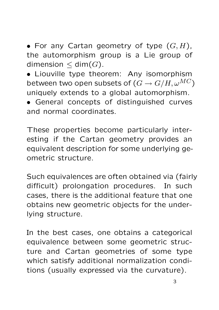• For any Cartan geometry of type  $(G, H)$ , the automorphism group is a Lie group of dimension  $\leq$  dim $(G)$ .

• Liouville type theorem: Any isomorphism between two open subsets of  $(G \rightarrow G/H, \omega^{MC})$ uniquely extends to a global automorphism.

• General concepts of distinguished curves and normal coordinates.

These properties become particularly interesting if the Cartan geometry provides an equivalent description for some underlying geometric structure.

Such equivalences are often obtained via (fairly difficult) prolongation procedures. In such cases, there is the additional feature that one obtains new geometric objects for the underlying structure.

In the best cases, one obtains a categorical equivalence between some geometric structure and Cartan geometries of some type which satisfy additional normalization conditions (usually expressed via the curvature).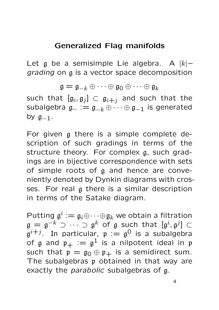#### Generalized Flag manifolds

Let  $\alpha$  be a semisimple Lie algebra. A  $|k|$ grading on g is a vector space decomposition

 $\mathfrak{g} = \mathfrak{g}_{-k} \oplus \cdots \oplus \mathfrak{g}_0 \oplus \cdots \oplus \mathfrak{g}_k$ such that  $[\mathfrak{g}_i, \mathfrak{g}_j] \, \subset \, \mathfrak{g}_{i+j}$  and such that the subalgebra  $\mathfrak{g}_- := \mathfrak{g}_{-k} \oplus \cdots \oplus \mathfrak{g}_{-1}$  is generated by  $g_{-1}$ .

For given g there is a simple complete description of such gradings in terms of the structure theory. For complex g, such gradings are in bijective correspondence with sets of simple roots of g and hence are conveniently denoted by Dynkin diagrams with crosses. For real g there is a similar description in terms of the Satake diagram.

Putting  $\mathfrak{g}^i := \mathfrak{g}_i \oplus \cdots \oplus \mathfrak{g}_k$  we obtain a filtration  $\mathfrak{g} \, = \, \mathfrak{g}^{-k} \, \supset \, \cdots \, \supset \, \mathfrak{g}^k$  of  $\mathfrak g$  such that  $[\mathfrak{g}^i , \mathfrak{g}^j] \, \subset \,$  $\mathfrak{g}^{i+j}$ . In particular,  $\mathfrak{p} := \mathfrak{g}^0$  is a subalgebra of  $\mathfrak g$  and  $\mathfrak p_+ := \mathfrak g^1$  is a nilpotent ideal in  $\mathfrak p$ such that  $p = g_0 \oplus p_+$  is a semidirect sum. The subalgebras p obtained in that way are exactly the *parabolic* subalgebras of g.

4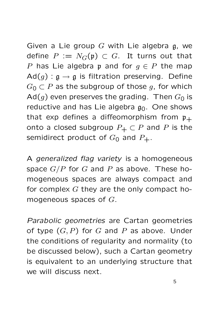Given a Lie group  $G$  with Lie algebra  $g$ , we define  $P := N_G(\mathfrak{p}) \subset G$ . It turns out that P has Lie algebra p and for  $q \in P$  the map  $Ad(g)$ :  $g \rightarrow g$  is filtration preserving. Define  $G_0 \subset P$  as the subgroup of those g, for which Ad(g) even preserves the grading. Then  $G_0$  is reductive and has Lie algebra  $g_0$ . One shows that exp defines a diffeomorphism from  $p_+$ onto a closed subgroup  $P_+ \subset P$  and P is the semidirect product of  $G_0$  and  $P_+$ .

A generalized flag variety is a homogeneous space  $G/P$  for  $G$  and  $P$  as above. These homogeneous spaces are always compact and for complex  $G$  they are the only compact homogeneous spaces of  $G$ .

Parabolic geometries are Cartan geometries of type  $(G, P)$  for G and P as above. Under the conditions of regularity and normality (to be discussed below), such a Cartan geometry is equivalent to an underlying structure that we will discuss next.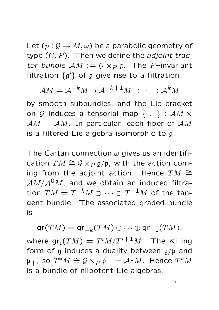Let  $(p: \mathcal{G} \to M, \omega)$  be a parabolic geometry of type  $(G, P)$ . Then we define the *adjoint trac*tor bundle  $AM := G \times_R \mathfrak{g}$ . The P-invariant filtration  $\{\mathfrak{g}^i\}$  of  $\mathfrak g$  give rise to a filtration

$$
\mathcal{A}M = \mathcal{A}^{-k}M \supset \mathcal{A}^{-k+1}M \supset \cdots \supset \mathcal{A}^{k}M
$$

by smooth subbundles, and the Lie bracket on G induces a tensorial map  $\{ , \}$ :  $\mathcal{A}M \times$  $AM \rightarrow AM$ . In particular, each fiber of  $AM$ is a filtered Lie algebra isomorphic to g.

The Cartan connection  $\omega$  gives us an identification  $TM \cong \mathcal{G} \times_P \mathfrak{g/p}$ , with the action coming from the adjoint action. Hence  $TM \cong$  $AM/A^0M$ , and we obtain an induced filtration  $TM=T^{-k}M\supset\cdots\supset T^{-1}M$  of the tangent bundle. The associated graded bundle is

 $gr(TM) = gr_{-k}(TM) \oplus \cdots \oplus gr_{-1}(TM),$ where  $\operatorname{\mathsf{gr}}_i(TM) = T^iM/T^{i+1}M$ . The Killing form of g induces a duality between  $g/p$  and  $\mathfrak{p}_+$ , so  $T^*M\cong \mathcal{G}\times_P \mathfrak{p}_+=\mathcal{A}^1M.$  Hence  $T^*M$ is a bundle of nilpotent Lie algebras.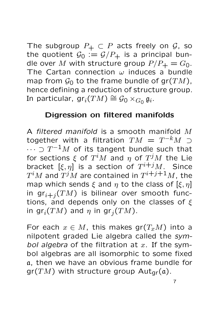The subgroup  $P_+ \subset P$  acts freely on  $\mathcal{G}$ , so the quotient  $G_0 := \mathcal{G}/P_+$  is a principal bundle over M with structure group  $P/P_+ = G_0$ . The Cartan connection  $\omega$  induces a bundle map from  $\mathcal{G}_0$  to the frame bundle of gr $(TM)$ , hence defining a reduction of structure group. In particular,  $\mathsf{gr}_i(TM) \cong \mathcal{G}_0 \times_{G_0} \mathfrak{g}_i.$ 

#### Digression on filtered manifolds

A filtered manifold is a smooth manifold M together with a filtration  $TM~=~T^{-k}M$   $\supset$  $\cdots \supset T^{-1}M$  of its tangent bundle such that for sections  $\xi$  of  $T^iM$  and  $\eta$  of  $T^jM$  the Lie bracket  $\left[\xi,\eta\right]$  is a section of  $T^{i+j}M$ . Since  $T^iM$  and  $T^jM$  are contained in  $T^{i+j+1}M$ , the map which sends  $\xi$  and  $\eta$  to the class of  $[\xi, \eta]$ in  $gr_{i+j}(TM)$  is bilinear over smooth functions, and depends only on the classes of  $\xi$ in gr<sub>i</sub>(TM) and  $\eta$  in gr<sub>j</sub>(TM).

For each  $x \in M$ , this makes gr $(T_xM)$  into a nilpotent graded Lie algebra called the symbol algebra of the filtration at  $x$ . If the symbol algebras are all isomorphic to some fixed a, then we have an obvious frame bundle for  $gr(TM)$  with structure group Aut<sub>gr</sub>(a).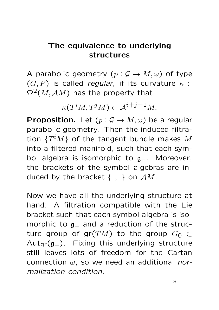# The equivalence to underlying structures

A parabolic geometry  $(p: \mathcal{G} \to M, \omega)$  of type  $(G, P)$  is called regular, if its curvature  $\kappa \in$  $\Omega^2(M, \mathcal{A}M)$  has the property that

 $\kappa(T^iM,T^jM)\subset {\mathcal A}^{i+j+1}M.$ 

**Proposition.** Let  $(p: \mathcal{G} \to M, \omega)$  be a regular parabolic geometry. Then the induced filtration  $\{T^iM\}$  of the tangent bundle makes  $M$ into a filtered manifold, such that each symbol algebra is isomorphic to  $g_-.$  Moreover, the brackets of the symbol algebras are induced by the bracket  $\{ , \}$  on  $AM$ .

Now we have all the underlying structure at hand: A filtration compatible with the Lie bracket such that each symbol algebra is isomorphic to  $a$ <sub>-</sub> and a reduction of the structure group of gr(TM) to the group  $G_0 \subset$ Autgr(g−). Fixing this underlying structure still leaves lots of freedom for the Cartan connection  $\omega$ , so we need an additional normalization condition.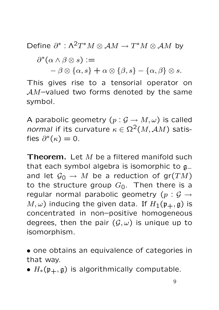Define  $\partial^*:\Lambda^2T^*M\otimes\mathcal AM\to T^*M\otimes\mathcal AM$  by

 $\partial^*(\alpha \wedge \beta \otimes s) :=$ 

 $-\beta \otimes {\alpha, s} + \alpha \otimes {\beta, s} - {\alpha, \beta} \otimes s.$ 

This gives rise to a tensorial operator on  $AM$ -valued two forms denoted by the same symbol.

A parabolic geometry  $(p: \mathcal{G} \to M, \omega)$  is called normal if its curvature  $\kappa \in \Omega^2(M, \mathcal{A}M)$  satisfies  $\partial^*(\kappa) = 0$ .

**Theorem.** Let  $M$  be a filtered manifold such that each symbol algebra is isomorphic to  $g_$ and let  $\mathcal{G}_0 \to M$  be a reduction of gr $(TM)$ to the structure group  $G_0$ . Then there is a regular normal parabolic geometry  $(p : \mathcal{G} \rightarrow$  $M, \omega$ ) inducing the given data. If  $H_1(\mathfrak{p}_+, \mathfrak{g})$  is concentrated in non–positive homogeneous degrees, then the pair  $(\mathcal{G}, \omega)$  is unique up to isomorphism.

• one obtains an equivalence of categories in that way.

•  $H_*(\mathfrak{p}_+, \mathfrak{g})$  is algorithmically computable.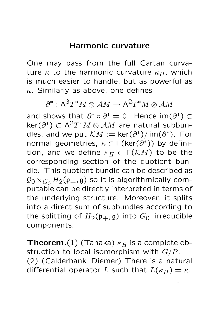#### Harmonic curvature

One may pass from the full Cartan curvature  $\kappa$  to the harmonic curvature  $\kappa_H$ , which is much easier to handle, but as powerful as  $\kappa$ . Similarly as above, one defines

 $\partial^{*}: \wedge^{3}T^{*}M \otimes \mathcal{A}M \rightarrow \wedge^{2}T^{*}M \otimes \mathcal{A}M$ 

and shows that  $\partial^* \circ \partial^* = 0$ . Hence im $(\partial^*) \subset$  $\ker(\partial^*) \subset \Lambda^2T^*M \otimes AM$  are natural subbundles, and we put  $KM := \text{ker}(\partial^*)/ \text{im}(\partial^*)$ . For normal geometries,  $\kappa \in \Gamma(\text{ker}(\partial^*))$  by definition, and we define  $\kappa_H \in \Gamma(KM)$  to be the corresponding section of the quotient bundle. This quotient bundle can be described as  $\mathcal{G}_0 \times_{G_0} H_2(\mathfrak{p}_+, \mathfrak{g})$  so it is algorithmically computable can be directly interpreted in terms of the underlying structure. Moreover, it splits into a direct sum of subbundles according to the splitting of  $H_2(\mathfrak{p}_+,\mathfrak{g})$  into  $G_0$ -irreducible components.

**Theorem.**(1) (Tanaka)  $\kappa_H$  is a complete obstruction to local isomorphism with  $G/P$ . (2) (Calderbank–Diemer) There is a natural differential operator L such that  $L(\kappa_H) = \kappa$ .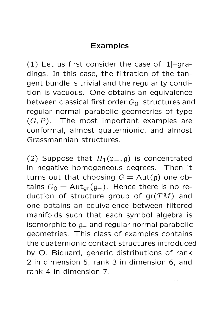# Examples

(1) Let us first consider the case of  $|1|$ -gradings. In this case, the filtration of the tangent bundle is trivial and the regularity condition is vacuous. One obtains an equivalence between classical first order  $G_0$ -structures and regular normal parabolic geometries of type  $(G, P)$ . The most important examples are conformal, almost quaternionic, and almost Grassmannian structures.

(2) Suppose that  $H_1(\mathfrak{p}_+,\mathfrak{g})$  is concentrated in negative homogeneous degrees. Then it turns out that choosing  $G = Aut(g)$  one obtains  $G_0 = \text{Aut}_{qr}(g_-)$ . Hence there is no reduction of structure group of  $gr(TM)$  and one obtains an equivalence between filtered manifolds such that each symbol algebra is isomorphic to  $g_$  and regular normal parabolic geometries. This class of examples contains the quaternionic contact structures introduced by O. Biquard, generic distributions of rank 2 in dimension 5, rank 3 in dimension 6, and rank 4 in dimension 7.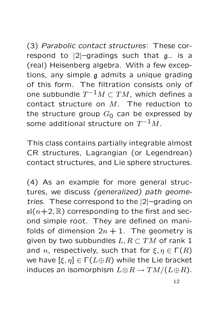(3) Parabolic contact structures: These correspond to |2|–gradings such that  $g_$  is a (real) Heisenberg algebra. With a few exceptions, any simple g admits a unique grading of this form. The filtration consists only of one subbundle  $T^{-1}M\subset TM$ , which defines a contact structure on  $M$ . The reduction to the structure group  $G_0$  can be expressed by some additional structure on  $T^{-1}M.$ 

This class contains partially integrable almost CR structures, Lagrangian (or Legendrean) contact structures, and Lie sphere structures.

(4) As an example for more general structures, we discuss (generalized) path geometries. These correspond to the |2|–grading on  $\mathfrak{sl}(n+2,\mathbb{R})$  corresponding to the first and second simple root. They are defined on manifolds of dimension  $2n + 1$ . The geometry is given by two subbundles  $L, R \subset TM$  of rank 1 and n, respectively, such that for  $\xi, \eta \in \Gamma(R)$ we have  $[\xi, \eta] \in \Gamma(L \oplus R)$  while the Lie bracket induces an isomorphism  $L \otimes R \to TM/(L \oplus R)$ .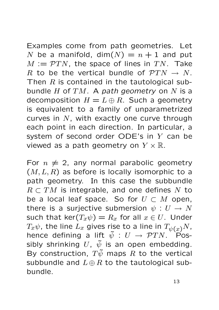Examples come from path geometries. Let N be a manifold, dim $(N) = n + 1$  and put  $M := \mathcal{P}TN$ , the space of lines in TN. Take R to be the vertical bundle of  $\mathcal{P}TN \rightarrow N$ . Then  $R$  is contained in the tautological subbundle  $H$  of  $TM$ . A path geometry on  $N$  is a decomposition  $H = L \oplus R$ . Such a geometry is equivalent to a family of unparametrized curves in  $N$ , with exactly one curve through each point in each direction. In particular, a system of second order ODE's in Y can be viewed as a path geometry on  $Y \times \mathbb{R}$ .

For  $n \neq 2$ , any normal parabolic geometry  $(M, L, R)$  as before is locally isomorphic to a path geometry. In this case the subbundle  $R \subset TM$  is integrable, and one defines N to be a local leaf space. So for  $U \subset M$  open, there is a surjective submersion  $\psi : U \to N$ such that ker $(T_x\psi) = R_x$  for all  $x \in U$ . Under  $T_x\psi$ , the line  $L_x$  gives rise to a line in  $T_{\psi(x)}N$ , hence defining a lift  $\tilde{\psi}: U \rightarrow \mathcal{P}TN$ . Possibly shrinking  $U, \tilde{\psi}$  is an open embedding. By construction,  $T\tilde{\psi}$  maps R to the vertical subbundle and  $L \oplus R$  to the tautological subbundle.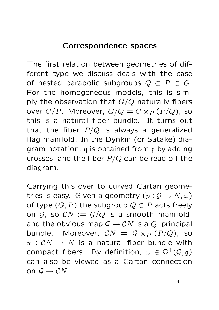#### Correspondence spaces

The first relation between geometries of different type we discuss deals with the case of nested parabolic subgroups  $Q \subset P \subset G$ . For the homogeneous models, this is simply the observation that  $G/Q$  naturally fibers over  $G/P$ . Moreover,  $G/Q = G \times_P (P/Q)$ , so this is a natural fiber bundle. It turns out that the fiber  $P/Q$  is always a generalized flag manifold. In the Dynkin (or Satake) diagram notation, q is obtained from p by adding crosses, and the fiber  $P/Q$  can be read off the diagram.

Carrying this over to curved Cartan geometries is easy. Given a geometry  $(p: \mathcal{G} \to N, \omega)$ of type  $(G, P)$  the subgroup  $Q \subset P$  acts freely on  $G$ , so  $CN := G/Q$  is a smooth manifold, and the obvious map  $G \to CN$  is a Q-principal bundle. Moreover,  $CN = G \times_P (P/Q)$ , so  $\pi : CN \rightarrow N$  is a natural fiber bundle with compact fibers. By definition,  $\omega \in \Omega^1(\mathcal{G}, \mathfrak{g})$ can also be viewed as a Cartan connection on  $\mathcal{G} \to \mathcal{C} N$ .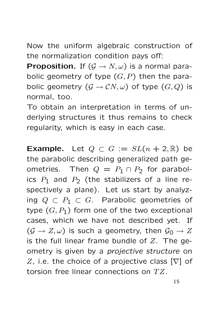Now the uniform algebraic construction of the normalization condition pays off:

**Proposition.** If  $(G \rightarrow N, \omega)$  is a normal parabolic geometry of type  $(G, P)$  then the parabolic geometry  $(G \to CN, \omega)$  of type  $(G, Q)$  is normal, too.

To obtain an interpretation in terms of underlying structures it thus remains to check regularity, which is easy in each case.

**Example.** Let  $Q \subset G := SL(n + 2, \mathbb{R})$  be the parabolic describing generalized path geometries. Then  $Q = P_1 \cap P_2$  for parabolics  $P_1$  and  $P_2$  (the stabilizers of a line respectively a plane). Let us start by analyzing  $Q \subset P_1 \subset G$ . Parabolic geometries of type  $(G, P_1)$  form one of the two exceptional cases, which we have not described yet. If  $(\mathcal{G} \to Z, \omega)$  is such a geometry, then  $\mathcal{G}_0 \to Z$ is the full linear frame bundle of  $Z$ . The geometry is given by a projective structure on Z, i.e. the choice of a projective class  $[\nabla]$  of torsion free linear connections on  $TZ$ .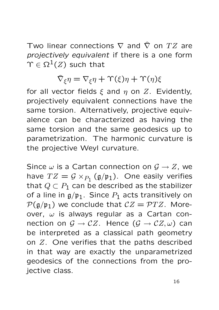Two linear connections  $\nabla$  and  $\hat{\nabla}$  on  $TZ$  are projectively equivalent if there is a one form  $\Upsilon \in \Omega^1(Z)$  such that

$$
\hat{\nabla}_{\xi}\eta = \nabla_{\xi}\eta + \Upsilon(\xi)\eta + \Upsilon(\eta)\xi
$$

for all vector fields  $\xi$  and  $\eta$  on  $Z$ . Evidently, projectively equivalent connections have the same torsion. Alternatively, projective equivalence can be characterized as having the same torsion and the same geodesics up to parametrization. The harmonic curvature is the projective Weyl curvature.

Since  $\omega$  is a Cartan connection on  $\mathcal{G} \to Z$ , we have  $TZ = \mathcal{G} \times_{P_1} (\mathfrak{g}/\mathfrak{p}_1)$ . One easily verifies that  $Q \subset P_1$  can be described as the stabilizer of a line in  $g/\mathfrak{p}_1$ . Since  $P_1$  acts transitively on  $P(\mathfrak{g}/\mathfrak{p}_1)$  we conclude that  $CZ = PTZ$ . Moreover,  $\omega$  is always regular as a Cartan connection on  $\mathcal{G} \to \mathcal{C}Z$ . Hence  $(\mathcal{G} \to \mathcal{C}Z, \omega)$  can be interpreted as a classical path geometry on Z. One verifies that the paths described in that way are exactly the unparametrized geodesics of the connections from the projective class.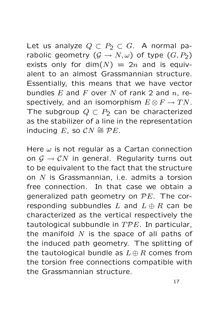Let us analyze  $Q \subset P_2 \subset G$ . A normal parabolic geometry  $(G \to N, \omega)$  of type  $(G, P_2)$ exists only for dim $(N) = 2n$  and is equivalent to an almost Grassmannian structure. Essentially, this means that we have vector bundles  $E$  and  $F$  over  $N$  of rank 2 and  $n$ , respectively, and an isomorphism  $E \otimes F \to TN$ . The subgroup  $Q \subset P_2$  can be characterized as the stabilizer of a line in the representation inducing E, so  $CN \cong \mathcal{P}E$ .

Here  $\omega$  is not regular as a Cartan connection on  $G \to CN$  in general. Regularity turns out to be equivalent to the fact that the structure on N is Grassmannian, i.e. admits a torsion free connection. In that case we obtain a generalized path geometry on  $PE$ . The corresponding subbundles L and  $L \oplus R$  can be characterized as the vertical respectively the tautological subbundle in  $TPE$ . In particular, the manifold  $N$  is the space of all paths of the induced path geometry. The splitting of the tautological bundle as  $L \oplus R$  comes from the torsion free connections compatible with the Grassmannian structure.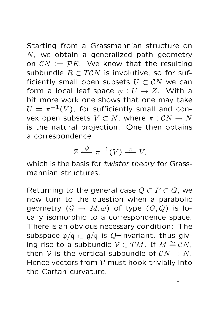Starting from a Grassmannian structure on N, we obtain a generalized path geometry on  $CN := PE$ . We know that the resulting subbundle  $R \subset TCN$  is involutive, so for sufficiently small open subsets  $U \subset \mathcal{C}N$  we can form a local leaf space  $\psi : U \to Z$ . With a bit more work one shows that one may take  $U=\pi^{-1}(V)$ , for sufficiently small and convex open subsets  $V \subset N$ , where  $\pi : \mathcal{C}N \to N$ is the natural projection. One then obtains a correspondence

$$
Z \xleftarrow{\psi} \pi^{-1}(V) \xrightarrow{\pi} V,
$$

which is the basis for twistor theory for Grassmannian structures.

Returning to the general case  $Q \subset P \subset G$ , we now turn to the question when a parabolic geometry  $(G \to M, \omega)$  of type  $(G, Q)$  is locally isomorphic to a correspondence space. There is an obvious necessary condition: The subspace  $p/q \subset q/q$  is Q-invariant, thus giving rise to a subbundle  $\mathcal{V} \subset TM$ . If  $M \cong \mathcal{C}N$ , then V is the vertical subbundle of  $CN \rightarrow N$ . Hence vectors from  $V$  must hook trivially into the Cartan curvature.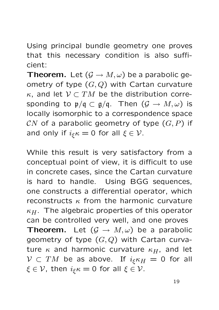Using principal bundle geometry one proves that this necessary condition is also sufficient:

**Theorem.** Let  $(G \rightarrow M, \omega)$  be a parabolic geometry of type  $(G, Q)$  with Cartan curvature  $\kappa$ , and let  $\mathcal{V} \subset TM$  be the distribution corresponding to  $\mathfrak{p}/\mathfrak{q} \subset \mathfrak{g}/\mathfrak{q}$ . Then  $(\mathcal{G} \to M, \omega)$  is locally isomorphic to a correspondence space CN of a parabolic geometry of type  $(G, P)$  if and only if  $i_{\xi} \kappa = 0$  for all  $\xi \in \mathcal{V}$ .

While this result is very satisfactory from a conceptual point of view, it is difficult to use in concrete cases, since the Cartan curvature is hard to handle. Using BGG sequences, one constructs a differential operator, which reconstructs  $\kappa$  from the harmonic curvature  $\kappa_H$ . The algebraic properties of this operator can be controlled very well, and one proves **Theorem.** Let  $(G \rightarrow M, \omega)$  be a parabolic geometry of type  $(G,Q)$  with Cartan curvature  $\kappa$  and harmonic curvature  $\kappa_H$ , and let  $V \subset TM$  be as above. If  $i_{\xi} \kappa_H = 0$  for all  $\xi \in \mathcal{V}$ , then  $i_{\xi} \kappa = 0$  for all  $\xi \in \mathcal{V}$ .

19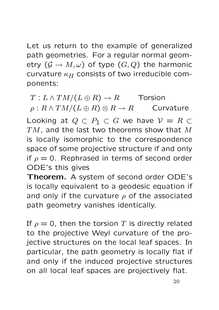Let us return to the example of generalized path geometries. For a regular normal geometry  $(G \to M, \omega)$  of type  $(G, Q)$  the harmonic curvature  $\kappa_H$  consists of two irreducible components:

 $T: L \wedge TM/(L \oplus R) \rightarrow R$  Torsion  $\rho: R \wedge TM/(L \oplus R) \otimes R \rightarrow R$  Curvature Looking at  $Q \subset P_1 \subset G$  we have  $V = R \subset$  $TM$ , and the last two theorems show that M is locally isomorphic to the correspondence space of some projective structure if and only if  $\rho = 0$ . Rephrased in terms of second order ODE's this gives

Theorem. A system of second order ODE's is locally equivalent to a geodesic equation if and only if the curvature  $\rho$  of the associated path geometry vanishes identically.

If  $\rho = 0$ , then the torsion T is directly related to the projective Weyl curvature of the projective structures on the local leaf spaces. In particular, the path geometry is locally flat if and only if the induced projective structures on all local leaf spaces are projectively flat.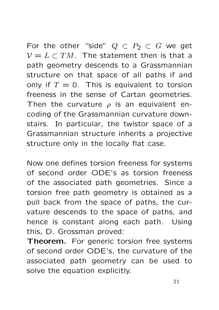For the other "side"  $Q \subset P_2 \subset G$  we get  $\mathcal{V} = L \subset TM$ . The statement then is that a path geometry descends to a Grassmannian structure on that space of all paths if and only if  $T = 0$ . This is equivalent to torsion freeness in the sense of Cartan geometries. Then the curvature  $\rho$  is an equivalent encoding of the Grassmannian curvature downstairs. In particular, the twistor space of a Grassmannian structure inherits a projective structure only in the locally flat case.

Now one defines torsion freeness for systems of second order ODE's as torsion freeness of the associated path geometries. Since a torsion free path geometry is obtained as a pull back from the space of paths, the curvature descends to the space of paths, and hence is constant along each path. Using this, D. Grossman proved:

Theorem. For generic torsion free systems of second order ODE's, the curvature of the associated path geometry can be used to solve the equation explicitly.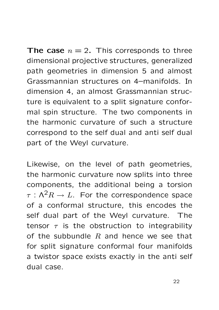**The case**  $n = 2$ . This corresponds to three dimensional projective structures, generalized path geometries in dimension 5 and almost Grassmannian structures on 4–manifolds. In dimension 4, an almost Grassmannian structure is equivalent to a split signature conformal spin structure. The two components in the harmonic curvature of such a structure correspond to the self dual and anti self dual part of the Weyl curvature.

Likewise, on the level of path geometries, the harmonic curvature now splits into three components, the additional being a torsion  $\tau : \Lambda^2 R \to L$ . For the correspondence space of a conformal structure, this encodes the self dual part of the Weyl curvature. The tensor  $\tau$  is the obstruction to integrability of the subbundle  $R$  and hence we see that for split signature conformal four manifolds a twistor space exists exactly in the anti self dual case.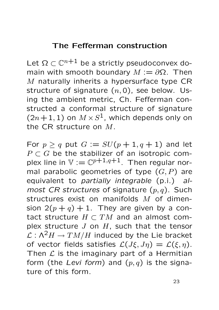#### The Fefferman construction

Let  $\Omega \subset \mathbb{C}^{n+1}$  be a strictly pseudoconvex domain with smooth boundary  $M := \partial \Omega$ . Then M naturally inherits a hypersurface type CR structure of signature  $(n, 0)$ , see below. Using the ambient metric, Ch. Fefferman constructed a conformal structure of signature  $(2n+1, 1)$  on  $M \times S^1$ , which depends only on the CR structure on M.

For  $p \ge q$  put  $G := SU(p + 1, q + 1)$  and let  $P \subset G$  be the stabilizer of an isotropic complex line in  $V := \mathbb{C}^{p+1,q+1}$ . Then regular normal parabolic geometries of type  $(G, P)$  are equivalent to partially integrable (p.i.) almost CR structures of signature  $(p, q)$ . Such structures exist on manifolds M of dimension  $2(p+q) + 1$ . They are given by a contact structure  $H \subset TM$  and an almost complex structure  $J$  on  $H$ , such that the tensor  $\mathcal{L} : \Lambda^2 H \to T M/H$  induced by the Lie bracket of vector fields satisfies  $\mathcal{L}(J\xi, J\eta) = \mathcal{L}(\xi, \eta)$ . Then  $\mathcal L$  is the imaginary part of a Hermitian form (the Levi form) and  $(p, q)$  is the signature of this form.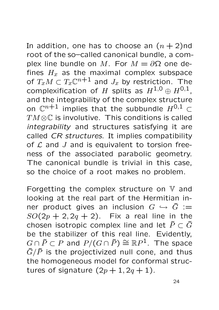In addition, one has to choose an  $(n + 2)$ nd root of the so–called canonical bundle, a complex line bundle on M. For  $M = \partial \Omega$  one defines  $H_x$  as the maximal complex subspace of  $T_xM\subset T_x\mathbb{C}^{n+1}$  and  $J_x$  by restriction. The complexification of H splits as  $H^{1,0}\oplus H^{0,1}$ , and the integrability of the complex structure on  $\mathbb{C}^{n+1}$  implies that the subbundle  $H^{0,1} \subset$  $TM\otimes\mathbb{C}$  is involutive. This conditions is called integrability and structures satisfying it are called CR structures. It implies compatibility of  $L$  and  $J$  and is equivalent to torsion freeness of the associated parabolic geometry. The canonical bundle is trivial in this case, so the choice of a root makes no problem.

Forgetting the complex structure on  $V$  and looking at the real part of the Hermitian inner product gives an inclusion  $G \hookrightarrow \tilde{G} :=$  $SO(2p + 2, 2q + 2)$ . Fix a real line in the chosen isotropic complex line and let  $\tilde{P} \subset \tilde{G}$ be the stabilizer of this real line. Evidently,  $G \cap \tilde{P} \subset P$  and  $P/(G \cap \tilde{P}) \cong \mathbb{R}P^1$ . The space  $\tilde{G}/\tilde{P}$  is the projectivized null cone, and thus the homogeneous model for conformal structures of signature  $(2p+1, 2q+1)$ .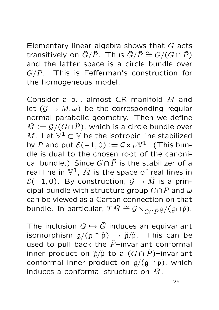Elementary linear algebra shows that  $G$  acts transitively on  $\tilde{G}/\tilde{P}$ . Thus  $\tilde{G}/\tilde{P} \cong G/(G \cap \tilde{P})$ and the latter space is a circle bundle over  $G/P$ . This is Fefferman's construction for the homogeneous model.

Consider a p.i. almost CR manifold M and let  $(G \to M, \omega)$  be the corresponding regular normal parabolic geometry. Then we define  $\tilde{M} := \mathcal{G}/(G \cap \tilde{P})$ , which is a circle bundle over M. Let  $V^1 \subset V$  be the isotropic line stabilized by P and put  $\mathcal{E}(-1,0) := \mathcal{G} \times_{P} \mathbb{V}^{1}$ . (This bundle is dual to the chosen root of the canonical bundle.) Since  $G \cap \tilde{P}$  is the stabilizer of a real line in  $\mathbb{V}^1$ ,  $\tilde{M}$  is the space of real lines in  $\mathcal{E}(-1,0)$ . By construction,  $\mathcal{G} \to \tilde{M}$  is a principal bundle with structure group  $G \cap \tilde{P}$  and  $\omega$ can be viewed as a Cartan connection on that bundle. In particular,  $T\tilde{M}\cong \mathcal{G}\times_{G\cap \tilde{P}}\mathfrak{g}/(\mathfrak{g}\cap \tilde{\mathfrak{p}})$ .

The inclusion  $G \hookrightarrow \tilde{G}$  induces an equivariant isomorphism  $g/(g \cap \tilde{p}) \rightarrow \tilde{g}/\tilde{p}$ . This can be used to pull back the  $\tilde{P}$ –invariant conformal inner product on  $\tilde{\mathfrak{g}}/\tilde{\mathfrak{p}}$  to a  $(G \cap \tilde{P})$ –invariant conformal inner product on  $g/(g \cap \tilde{p})$ , which induces a conformal structure on  $\tilde{M}$ .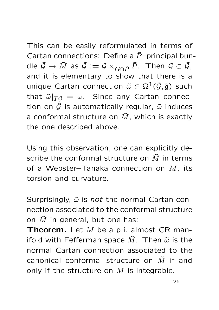This can be easily reformulated in terms of Cartan connections: Define a  $\tilde{P}$ -principal bundle  $\tilde{\mathcal{G}} \to \tilde{M}$  as  $\tilde{\mathcal{G}} := \mathcal{G} \times_{G \cap \tilde{P}} \tilde{P}$ . Then  $\mathcal{G} \subset \tilde{\mathcal{G}}$ , and it is elementary to show that there is a unique Cartan connection  $\tilde{\omega} \in \Omega^1(\tilde{\mathcal{G}}, \tilde{\mathfrak{g}})$  such that  $\tilde{\omega}|_{TG} = \omega$ . Since any Cartan connection on  $\tilde{G}$  is automatically regular,  $\tilde{\omega}$  induces a conformal structure on  $\tilde{M}$ , which is exactly the one described above.

Using this observation, one can explicitly describe the conformal structure on  $\tilde{M}$  in terms of a Webster-Tanaka connection on  $M$ , its torsion and curvature.

Surprisingly,  $\tilde{\omega}$  is not the normal Cartan connection associated to the conformal structure on  $\tilde{M}$  in general, but one has:

**Theorem.** Let  $M$  be a p.i. almost CR manifold with Fefferman space  $\tilde{M}$ . Then  $\tilde{\omega}$  is the normal Cartan connection associated to the canonical conformal structure on  $\tilde{M}$  if and only if the structure on  $M$  is integrable.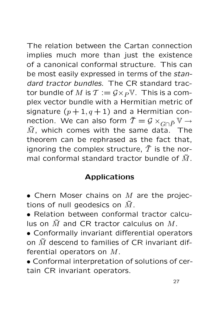The relation between the Cartan connection implies much more than just the existence of a canonical conformal structure. This can be most easily expressed in terms of the standard tractor bundles. The CR standard tractor bundle of M is  $\mathcal{T} := \mathcal{G} \times_P \mathbb{V}$ . This is a complex vector bundle with a Hermitian metric of signature  $(p+1, q+1)$  and a Hermitian connection. We can also form  $\tilde{T} = \mathcal{G} \times_{G \cap \tilde{P}} V \rightarrow$  $\tilde{M}$ , which comes with the same data. The theorem can be rephrased as the fact that, ignoring the complex structure,  $\tilde{T}$  is the normal conformal standard tractor bundle of  $\tilde{M}$ .

# Applications

- $\bullet$  Chern Moser chains on  $M$  are the projections of null geodesics on  $\tilde{M}$ .
- Relation between conformal tractor calculus on  $\tilde{M}$  and CR tractor calculus on M.
- Conformally invariant differential operators on  $\tilde{M}$  descend to families of CR invariant differential operators on M.
- Conformal interpretation of solutions of certain CR invariant operators.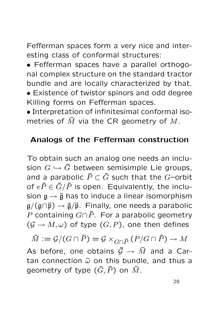Fefferman spaces form a very nice and interesting class of conformal structures:

• Fefferman spaces have a parallel orthogonal complex structure on the standard tractor bundle and are locally characterized by that. • Existence of twistor spinors and odd degree Killing forms on Fefferman spaces.

• Interpretation of infinitesimal conformal isometries of  $\tilde{M}$  via the CR geometry of M.

## Analogs of the Fefferman construction

To obtain such an analog one needs an inclusion  $G \hookrightarrow \tilde{G}$  between semisimple Lie groups, and a parabolic  $\tilde{P} \subset \tilde{G}$  such that the G-orbit of  $e\tilde{P} \in \tilde{G}/\tilde{P}$  is open. Equivalently, the inclusion  $\mathfrak{g} \to \tilde{\mathfrak{g}}$  has to induce a linear isomorphism  $g/(g\cap\tilde{p})\to\tilde{g}/\tilde{p}$ . Finally, one needs a parabolic P containing  $G \cap \tilde{P}$ . For a parabolic geometry  $(G \to M, \omega)$  of type  $(G, P)$ , one then defines

 $\tilde{M} := \mathcal{G}/(G \cap \tilde{P}) = \mathcal{G} \times_{G \cap \tilde{P}} (P/G \cap \tilde{P}) \to M$ As before, one obtains  $\tilde{G} \rightarrow \tilde{M}$  and a Cartan connection  $\tilde{\omega}$  on this bundle, and thus a geometry of type  $(\tilde{G}, \tilde{P})$  on  $\tilde{M}$ .

28